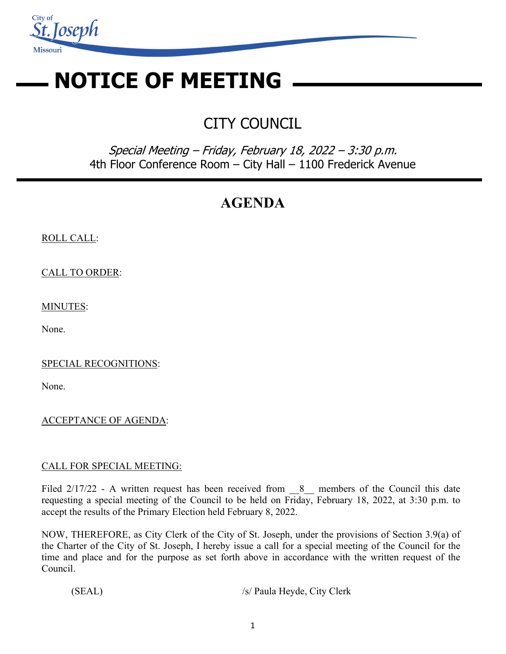

# **NOTICE OF MEETING**

# CITY COUNCIL

Special Meeting – Friday, February 18, 2022 – 3:30 p.m. 4th Floor Conference Room – City Hall – 1100 Frederick Avenue

# **AGENDA**

## ROLL CALL:

CALL TO ORDER:

MINUTES:

None.

SPECIAL RECOGNITIONS:

None.

## ACCEPTANCE OF AGENDA:

#### CALL FOR SPECIAL MEETING:

Filed 2/17/22 - A written request has been received from 8 members of the Council this date requesting a special meeting of the Council to be held on Friday, February 18, 2022, at 3:30 p.m. to accept the results of the Primary Election held February 8, 2022.

 NOW, THEREFORE, as City Clerk of the City of St. Joseph, under the provisions of Section 3.9(a) of the Charter of the City of St. Joseph, I hereby issue a call for a special meeting of the Council for the time and place and for the purpose as set forth above in accordance with the written request of the Council.

(SEAL) /s/ Paula Heyde, City Clerk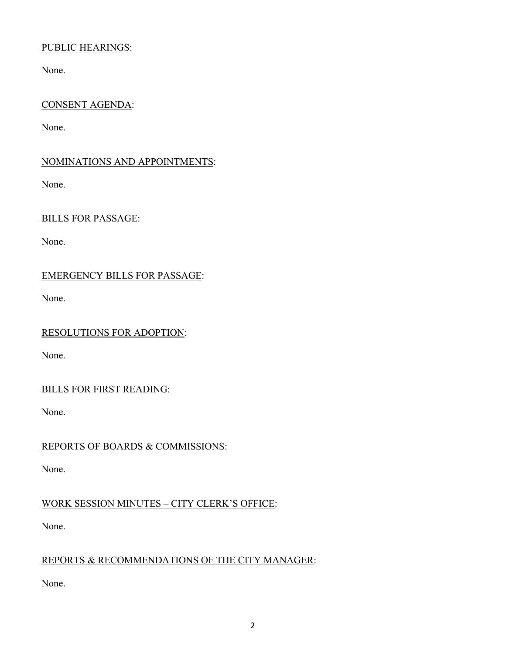## PUBLIC HEARINGS:

None.

#### CONSENT AGENDA:

None.

#### NOMINATIONS AND APPOINTMENTS:

None.

#### BILLS FOR PASSAGE:

None.

## EMERGENCY BILLS FOR PASSAGE:

None.

#### RESOLUTIONS FOR ADOPTION:

None.

## BILLS FOR FIRST READING:

None.

## REPORTS OF BOARDS & COMMISSIONS:

None.

## WORK SESSION MINUTES – CITY CLERK'S OFFICE:

None.

## REPORTS & RECOMMENDATIONS OF THE CITY MANAGER:

None.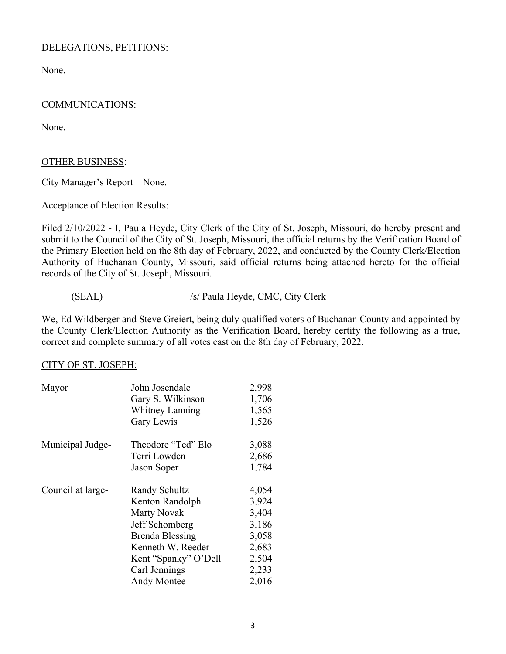#### DELEGATIONS, PETITIONS:

None.

#### COMMUNICATIONS:

None.

#### OTHER BUSINESS:

City Manager's Report – None.

#### Acceptance of Election Results:

Filed 2/10/2022 - I, Paula Heyde, City Clerk of the City of St. Joseph, Missouri, do hereby present and submit to the Council of the City of St. Joseph, Missouri, the official returns by the Verification Board of the Primary Election held on the 8th day of February, 2022, and conducted by the County Clerk/Election Authority of Buchanan County, Missouri, said official returns being attached hereto for the official records of the City of St. Joseph, Missouri.

#### (SEAL) /s/ Paula Heyde, CMC, City Clerk

We, Ed Wildberger and Steve Greiert, being duly qualified voters of Buchanan County and appointed by the County Clerk/Election Authority as the Verification Board, hereby certify the following as a true, correct and complete summary of all votes cast on the 8th day of February, 2022.

#### CITY OF ST. JOSEPH:

| Mayor             | John Josendale<br>Gary S. Wilkinson<br><b>Whitney Lanning</b><br>Gary Lewis                                                                                                            | 2,998<br>1,706<br>1,565<br>1,526                                              |
|-------------------|----------------------------------------------------------------------------------------------------------------------------------------------------------------------------------------|-------------------------------------------------------------------------------|
| Municipal Judge-  | Theodore "Ted" Elo<br>Terri Lowden<br>Jason Soper                                                                                                                                      | 3,088<br>2,686<br>1,784                                                       |
| Council at large- | Randy Schultz<br>Kenton Randolph<br><b>Marty Novak</b><br>Jeff Schomberg<br><b>Brenda Blessing</b><br>Kenneth W. Reeder<br>Kent "Spanky" O'Dell<br>Carl Jennings<br><b>Andy Montee</b> | 4,054<br>3,924<br>3,404<br>3,186<br>3,058<br>2,683<br>2,504<br>2,233<br>2,016 |